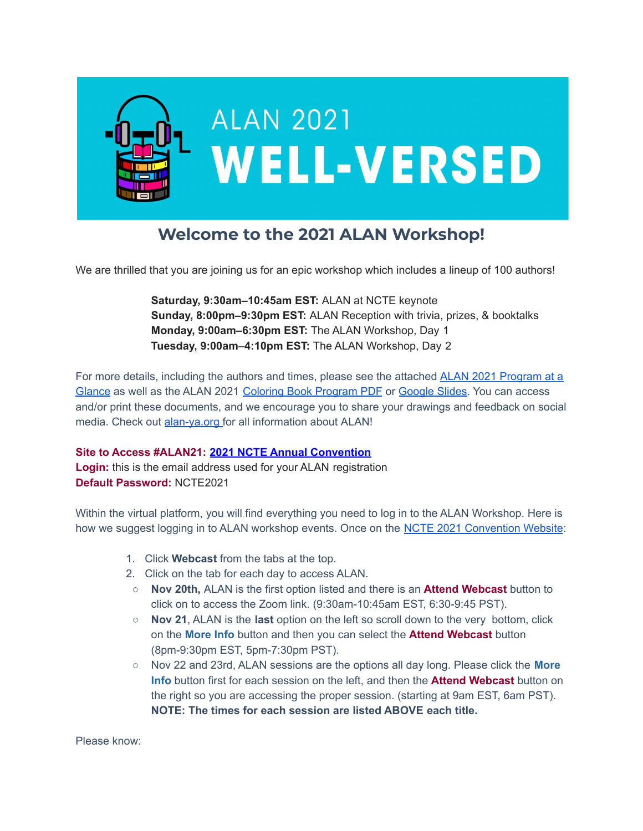

## **Welcome to the 2021 ALAN Workshop!**

We are thrilled that you are joining us for an epic workshop which includes a lineup of 100 authors!

**Saturday, 9:30am–10:45am EST:** ALAN at NCTE keynote **Sunday, 8:00pm–9:30pm EST:** ALAN Reception with trivia, prizes, & booktalks **Monday, 9:00am–6:30pm EST:** The ALAN Workshop, Day 1 **Tuesday, 9:00am**–**4:10pm EST:** The ALAN Workshop, Day 2

For more details, including the authors and times, please see the attached [ALAN 2021 Program at a](https://drive.google.com/file/d/1NbHk-bnrsUV08bAusYQGOITJR_AEMUpn/view?usp=sharing) [Glance](https://drive.google.com/file/d/1NbHk-bnrsUV08bAusYQGOITJR_AEMUpn/view?usp=sharing) as well as the ALAN 2021 [Coloring Book Program](https://drive.google.com/file/d/1xEXac5JTKv4qZtsprFl6o-Wkhmf00AqV/view?usp=sharing) PDF or [Google Slides.](https://docs.google.com/presentation/u/0/d/1Rs4neuE00SOFRBPldzDx0pMkEDggfplRuVMBvo62ZFE/edit) You can access and/or print these documents, and we encourage you to share your drawings and feedback on social media. Check out [alan-ya.org](http://alan-ya.org) for all information about ALAN!

## **Site to Access #ALAN21: [2021 NCTE Annual Convention](http://send.ncte.org/link.cfm?r=0hB4wmG4C-5cmgp_811wDQ~~&pe=lYNUN9BUr5CRPcOrt330JPK8M6nDVqrQN_uSInF3FOyzXqrrMU1fsPY56ed4OoousOd_h4-Wao95qs9SLPCRMQ~~&t=DdfbebrWUHsp6F1UjiWkDQ~~)**

**Login:** this is the email address used for your ALAN registration **Default Password:** NCTE2021

Within the virtual platform, you will find everything you need to log in to the ALAN Workshop. Here is how we suggest logging in to ALAN workshop events. Once on the [NCTE 2021 Convention Website](http://send.ncte.org/link.cfm?r=0hB4wmG4C-5cmgp_811wDQ~~&pe=lYNUN9BUr5CRPcOrt330JPK8M6nDVqrQN_uSInF3FOyzXqrrMU1fsPY56ed4OoousOd_h4-Wao95qs9SLPCRMQ~~&t=DdfbebrWUHsp6F1UjiWkDQ~~):

- 1. Click **Webcast** from the tabs at the top.
- 2. Click on the tab for each day to access ALAN.
- **Nov 20th,** ALAN is the first option listed and there is an **Attend Webcast** button to click on to access the Zoom link. (9:30am-10:45am EST, 6:30-9:45 PST).
- **○ Nov 21**, ALAN is the **last** option on the left so scroll down to the very bottom, click on the **More Info** button and then you can select the **Attend Webcast** button (8pm-9:30pm EST, 5pm-7:30pm PST).
- Nov 22 and 23rd, ALAN sessions are the options all day long. Please click the **More Info** button first for each session on the left, and then the **Attend Webcast** button on the right so you are accessing the proper session. (starting at 9am EST, 6am PST). **NOTE: The times for each session are listed ABOVE each title.**

Please know: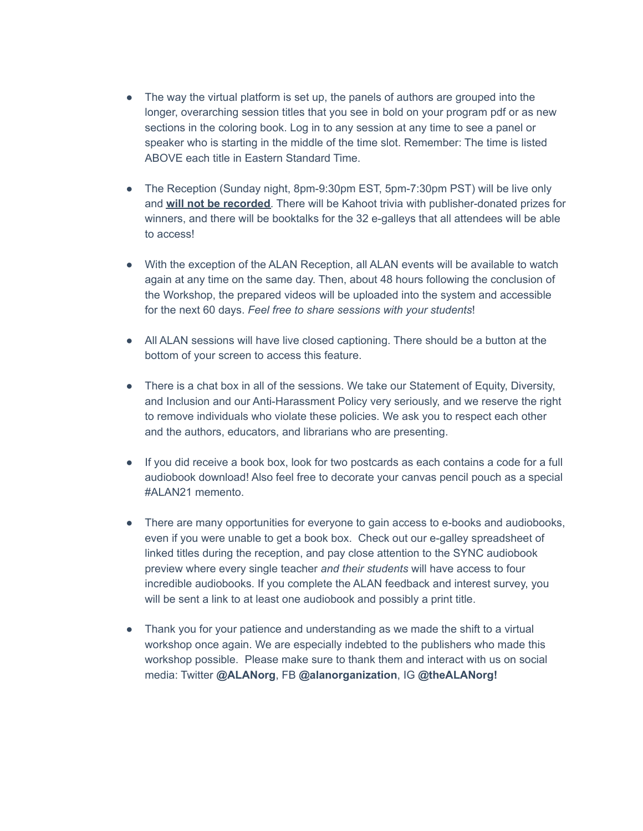- The way the virtual platform is set up, the panels of authors are grouped into the longer, overarching session titles that you see in bold on your program pdf or as new sections in the coloring book. Log in to any session at any time to see a panel or speaker who is starting in the middle of the time slot. Remember: The time is listed ABOVE each title in Eastern Standard Time.
- The Reception (Sunday night, 8pm-9:30pm EST, 5pm-7:30pm PST) will be live only and **will not be recorded**. There will be Kahoot trivia with publisher-donated prizes for winners, and there will be booktalks for the 32 e-galleys that all attendees will be able to access!
- With the exception of the ALAN Reception, all ALAN events will be available to watch again at any time on the same day. Then, about 48 hours following the conclusion of the Workshop, the prepared videos will be uploaded into the system and accessible for the next 60 days. *Feel free to share sessions with your students*!
- All ALAN sessions will have live closed captioning. There should be a button at the bottom of your screen to access this feature.
- There is a chat box in all of the sessions. We take our Statement of Equity, Diversity, and Inclusion and our Anti-Harassment Policy very seriously, and we reserve the right to remove individuals who violate these policies. We ask you to respect each other and the authors, educators, and librarians who are presenting.
- If you did receive a book box, look for two postcards as each contains a code for a full audiobook download! Also feel free to decorate your canvas pencil pouch as a special #ALAN21 memento.
- There are many opportunities for everyone to gain access to e-books and audiobooks, even if you were unable to get a book box. Check out our e-galley spreadsheet of linked titles during the reception, and pay close attention to the SYNC audiobook preview where every single teacher *and their students* will have access to four incredible audiobooks. If you complete the ALAN feedback and interest survey, you will be sent a link to at least one audiobook and possibly a print title.
- Thank you for your patience and understanding as we made the shift to a virtual workshop once again. We are especially indebted to the publishers who made this workshop possible. Please make sure to thank them and interact with us on social media: Twitter **@ALANorg**, FB **@alanorganization**, IG **@theALANorg!**